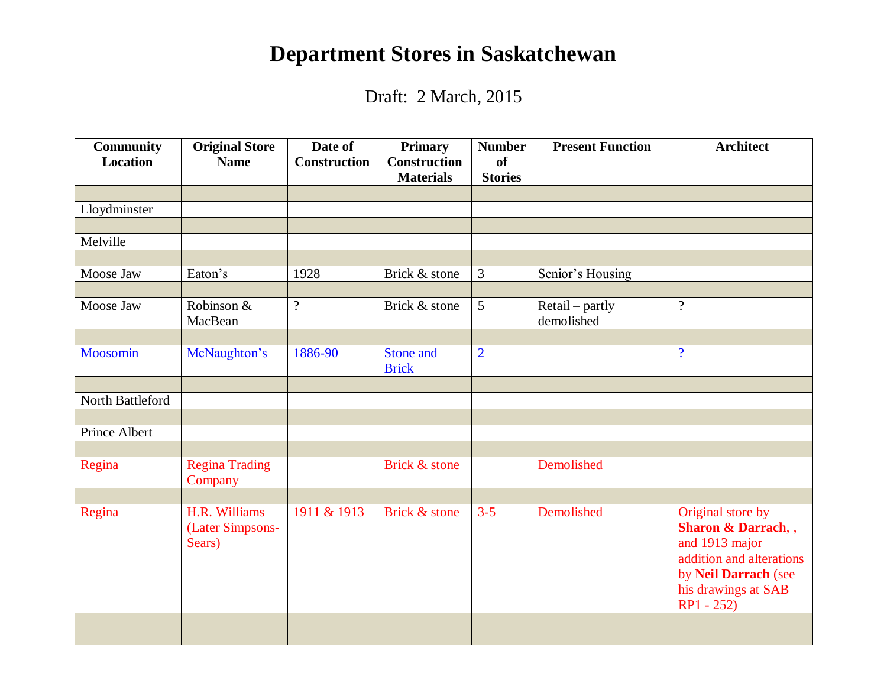## **Department Stores in Saskatchewan**

Draft: 2 March, 2015

| <b>Community</b><br><b>Location</b> | <b>Original Store</b><br><b>Name</b>        | Date of<br><b>Construction</b> | <b>Primary</b><br><b>Construction</b> | <b>Number</b><br><b>of</b> | <b>Present Function</b>       | <b>Architect</b>                                                                                                                                                |
|-------------------------------------|---------------------------------------------|--------------------------------|---------------------------------------|----------------------------|-------------------------------|-----------------------------------------------------------------------------------------------------------------------------------------------------------------|
|                                     |                                             |                                | <b>Materials</b>                      | <b>Stories</b>             |                               |                                                                                                                                                                 |
|                                     |                                             |                                |                                       |                            |                               |                                                                                                                                                                 |
| Lloydminster                        |                                             |                                |                                       |                            |                               |                                                                                                                                                                 |
| Melville                            |                                             |                                |                                       |                            |                               |                                                                                                                                                                 |
|                                     |                                             |                                |                                       |                            |                               |                                                                                                                                                                 |
| Moose Jaw                           | Eaton's                                     | 1928                           | Brick & stone                         | 3                          | Senior's Housing              |                                                                                                                                                                 |
|                                     |                                             |                                |                                       |                            |                               |                                                                                                                                                                 |
| Moose Jaw                           | Robinson &<br>MacBean                       | $\overline{?}$                 | Brick & stone                         | 5                          | Retail – partly<br>demolished | $\overline{\mathcal{L}}$                                                                                                                                        |
|                                     |                                             |                                |                                       |                            |                               |                                                                                                                                                                 |
| Moosomin                            | McNaughton's                                | 1886-90                        | Stone and<br><b>Brick</b>             | $\overline{2}$             |                               | $\overline{\mathcal{L}}$                                                                                                                                        |
|                                     |                                             |                                |                                       |                            |                               |                                                                                                                                                                 |
| North Battleford                    |                                             |                                |                                       |                            |                               |                                                                                                                                                                 |
|                                     |                                             |                                |                                       |                            |                               |                                                                                                                                                                 |
| Prince Albert                       |                                             |                                |                                       |                            |                               |                                                                                                                                                                 |
|                                     |                                             |                                |                                       |                            |                               |                                                                                                                                                                 |
| Regina                              | <b>Regina Trading</b><br>Company            |                                | Brick & stone                         |                            | Demolished                    |                                                                                                                                                                 |
|                                     |                                             |                                |                                       |                            |                               |                                                                                                                                                                 |
| Regina                              | H.R. Williams<br>(Later Simpsons-<br>Sears) | 1911 & 1913                    | Brick & stone                         | $3 - 5$                    | Demolished                    | Original store by<br><b>Sharon &amp; Darrach, ,</b><br>and 1913 major<br>addition and alterations<br>by Neil Darrach (see<br>his drawings at SAB<br>$RP1 - 252$ |
|                                     |                                             |                                |                                       |                            |                               |                                                                                                                                                                 |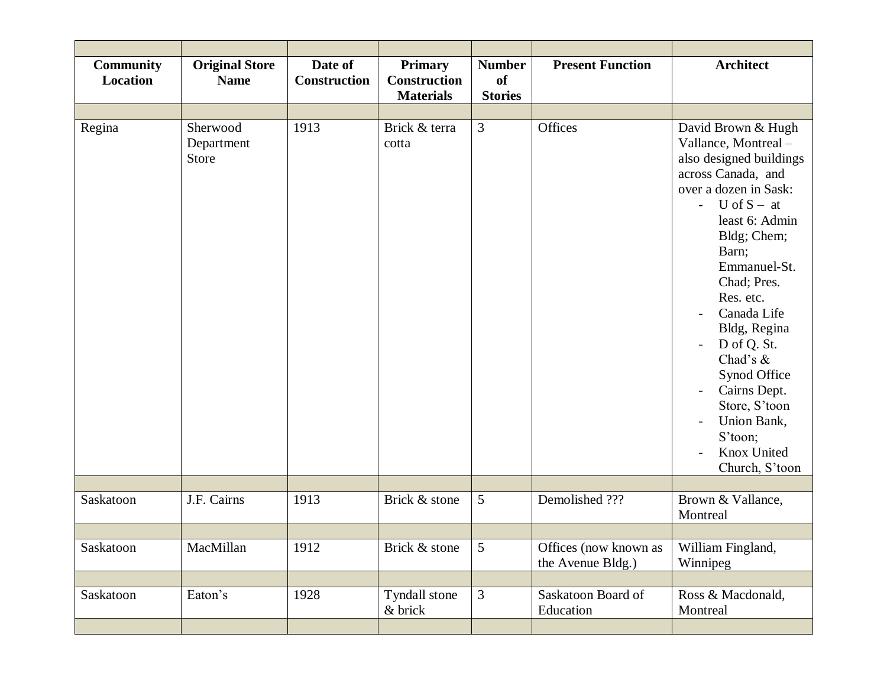| <b>Community</b><br><b>Location</b> | <b>Original Store</b><br><b>Name</b> | Date of<br><b>Construction</b> | <b>Primary</b><br><b>Construction</b><br><b>Materials</b> | <b>Number</b><br><b>of</b><br><b>Stories</b> | <b>Present Function</b>                    | <b>Architect</b>                                                                                                                                                                                                                                                                                                                                                                                         |
|-------------------------------------|--------------------------------------|--------------------------------|-----------------------------------------------------------|----------------------------------------------|--------------------------------------------|----------------------------------------------------------------------------------------------------------------------------------------------------------------------------------------------------------------------------------------------------------------------------------------------------------------------------------------------------------------------------------------------------------|
|                                     |                                      |                                |                                                           |                                              |                                            |                                                                                                                                                                                                                                                                                                                                                                                                          |
| Regina                              | Sherwood<br>Department<br>Store      | 1913                           | Brick & terra<br>cotta                                    | 3                                            | Offices                                    | David Brown & Hugh<br>Vallance, Montreal -<br>also designed buildings<br>across Canada, and<br>over a dozen in Sask:<br>- $U \circ f S - at$<br>least 6: Admin<br>Bldg; Chem;<br>Barn;<br>Emmanuel-St.<br>Chad; Pres.<br>Res. etc.<br>Canada Life<br>Bldg, Regina<br>D of Q. St.<br>Chad's &<br>Synod Office<br>Cairns Dept.<br>Store, S'toon<br>Union Bank,<br>S'toon;<br>Knox United<br>Church, S'toon |
|                                     |                                      |                                |                                                           |                                              |                                            |                                                                                                                                                                                                                                                                                                                                                                                                          |
| Saskatoon                           | J.F. Cairns                          | 1913                           | Brick & stone                                             | 5                                            | Demolished ???                             | Brown & Vallance,<br>Montreal                                                                                                                                                                                                                                                                                                                                                                            |
|                                     |                                      |                                |                                                           |                                              |                                            |                                                                                                                                                                                                                                                                                                                                                                                                          |
| Saskatoon                           | MacMillan                            | 1912                           | Brick & stone                                             | 5                                            | Offices (now known as<br>the Avenue Bldg.) | William Fingland,<br>Winnipeg                                                                                                                                                                                                                                                                                                                                                                            |
|                                     |                                      |                                |                                                           |                                              |                                            |                                                                                                                                                                                                                                                                                                                                                                                                          |
| Saskatoon                           | Eaton's                              | 1928                           | Tyndall stone<br>& brick                                  | $\mathfrak{Z}$                               | Saskatoon Board of<br>Education            | Ross & Macdonald,<br>Montreal                                                                                                                                                                                                                                                                                                                                                                            |
|                                     |                                      |                                |                                                           |                                              |                                            |                                                                                                                                                                                                                                                                                                                                                                                                          |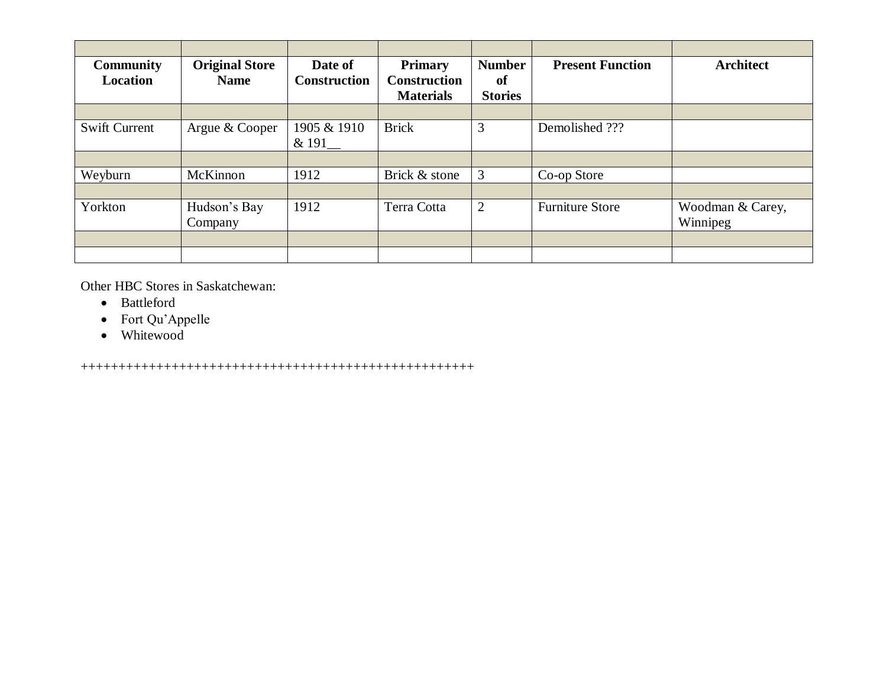| <b>Community</b><br><b>Location</b> | <b>Original Store</b><br><b>Name</b> | Date of<br><b>Construction</b> | <b>Primary</b><br><b>Construction</b><br><b>Materials</b> | <b>Number</b><br><sub>of</sub><br><b>Stories</b> | <b>Present Function</b> | <b>Architect</b> |
|-------------------------------------|--------------------------------------|--------------------------------|-----------------------------------------------------------|--------------------------------------------------|-------------------------|------------------|
| <b>Swift Current</b>                | Argue & Cooper                       | 1905 & 1910<br>& 191           | <b>Brick</b>                                              | 3                                                | Demolished ???          |                  |
| Weyburn                             | McKinnon                             | 1912                           | Brick & stone                                             | 3                                                | Co-op Store             |                  |
| Yorkton                             | Hudson's Bay                         | 1912                           | Terra Cotta                                               | 2                                                | <b>Furniture Store</b>  | Woodman & Carey, |
|                                     | Company                              |                                |                                                           |                                                  |                         | Winnipeg         |
|                                     |                                      |                                |                                                           |                                                  |                         |                  |

Other HBC Stores in Saskatchewan:

- Battleford
- Fort Qu'Appelle
- Whitewood

++++++++++++++++++++++++++++++++++++++++++++++++++++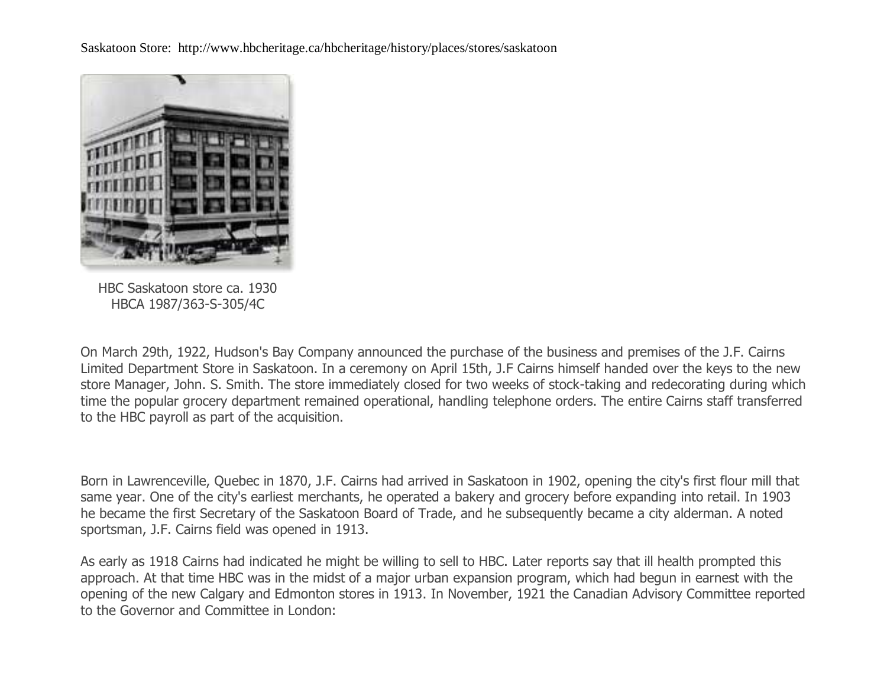Saskatoon Store: http://www.hbcheritage.ca/hbcheritage/history/places/stores/saskatoon



HBC Saskatoon store ca. 1930 HBCA 1987/363-S-305/4C

On March 29th, 1922, Hudson's Bay Company announced the purchase of the business and premises of the J.F. Cairns Limited Department Store in Saskatoon. In a ceremony on April 15th, J.F Cairns himself handed over the keys to the new store Manager, John. S. Smith. The store immediately closed for two weeks of stock-taking and redecorating during which time the popular grocery department remained operational, handling telephone orders. The entire Cairns staff transferred to the HBC payroll as part of the acquisition.

Born in Lawrenceville, Quebec in 1870, J.F. Cairns had arrived in Saskatoon in 1902, opening the city's first flour mill that same year. One of the city's earliest merchants, he operated a bakery and grocery before expanding into retail. In 1903 he became the first Secretary of the Saskatoon Board of Trade, and he subsequently became a city alderman. A noted sportsman, J.F. Cairns field was opened in 1913.

As early as 1918 Cairns had indicated he might be willing to sell to HBC. Later reports say that ill health prompted this approach. At that time HBC was in the midst of a major urban expansion program, which had begun in earnest with the opening of the new Calgary and Edmonton stores in 1913. In November, 1921 the Canadian Advisory Committee reported to the Governor and Committee in London: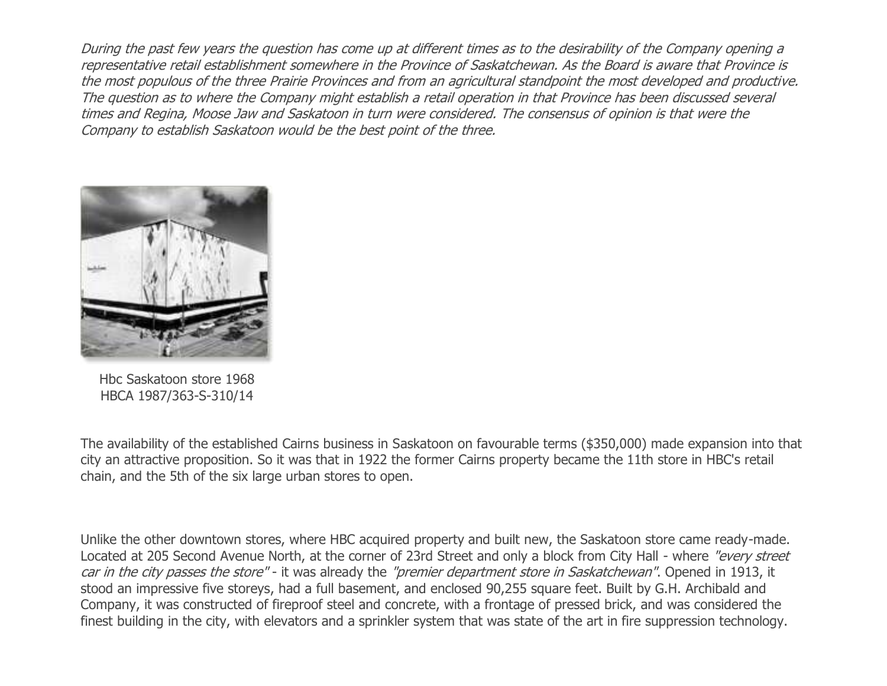During the past few years the question has come up at different times as to the desirability of the Company opening a representative retail establishment somewhere in the Province of Saskatchewan. As the Board is aware that Province is the most populous of the three Prairie Provinces and from an agricultural standpoint the most developed and productive. The question as to where the Company might establish a retail operation in that Province has been discussed several times and Regina, Moose Jaw and Saskatoon in turn were considered. The consensus of opinion is that were the Company to establish Saskatoon would be the best point of the three.



Hbc Saskatoon store 1968 HBCA 1987/363-S-310/14

The availability of the established Cairns business in Saskatoon on favourable terms (\$350,000) made expansion into that city an attractive proposition. So it was that in 1922 the former Cairns property became the 11th store in HBC's retail chain, and the 5th of the six large urban stores to open.

Unlike the other downtown stores, where HBC acquired property and built new, the Saskatoon store came ready-made. Located at 205 Second Avenue North, at the corner of 23rd Street and only a block from City Hall - where "every street car in the city passes the store" - it was already the "premier department store in Saskatchewan". Opened in 1913, it stood an impressive five storeys, had a full basement, and enclosed 90,255 square feet. Built by G.H. Archibald and Company, it was constructed of fireproof steel and concrete, with a frontage of pressed brick, and was considered the finest building in the city, with elevators and a sprinkler system that was state of the art in fire suppression technology.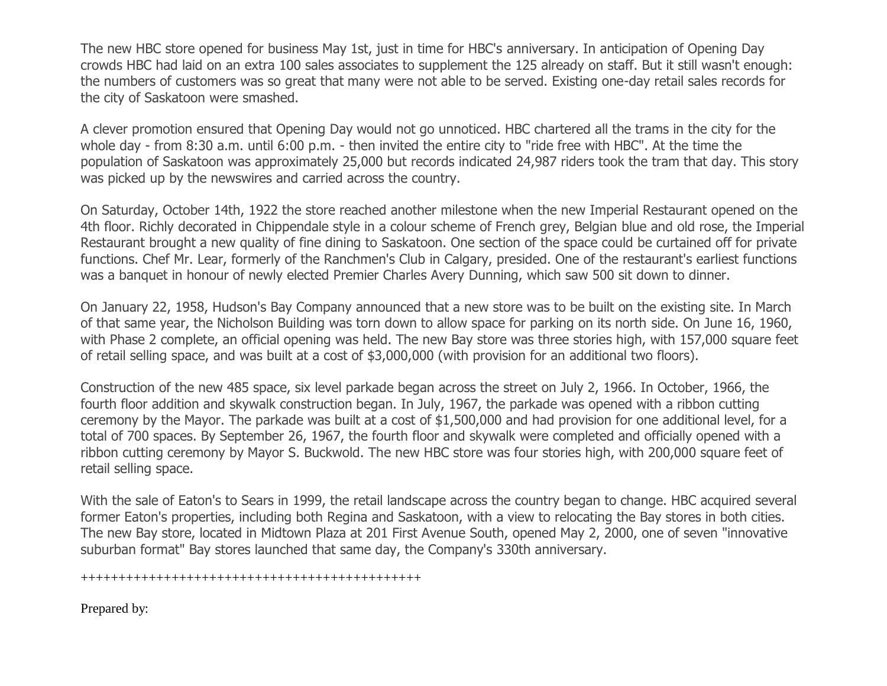The new HBC store opened for business May 1st, just in time for HBC's anniversary. In anticipation of Opening Day crowds HBC had laid on an extra 100 sales associates to supplement the 125 already on staff. But it still wasn't enough: the numbers of customers was so great that many were not able to be served. Existing one-day retail sales records for the city of Saskatoon were smashed.

A clever promotion ensured that Opening Day would not go unnoticed. HBC chartered all the trams in the city for the whole day - from 8:30 a.m. until 6:00 p.m. - then invited the entire city to "ride free with HBC". At the time the population of Saskatoon was approximately 25,000 but records indicated 24,987 riders took the tram that day. This story was picked up by the newswires and carried across the country.

On Saturday, October 14th, 1922 the store reached another milestone when the new Imperial Restaurant opened on the 4th floor. Richly decorated in Chippendale style in a colour scheme of French grey, Belgian blue and old rose, the Imperial Restaurant brought a new quality of fine dining to Saskatoon. One section of the space could be curtained off for private functions. Chef Mr. Lear, formerly of the Ranchmen's Club in Calgary, presided. One of the restaurant's earliest functions was a banquet in honour of newly elected Premier Charles Avery Dunning, which saw 500 sit down to dinner.

On January 22, 1958, Hudson's Bay Company announced that a new store was to be built on the existing site. In March of that same year, the Nicholson Building was torn down to allow space for parking on its north side. On June 16, 1960, with Phase 2 complete, an official opening was held. The new Bay store was three stories high, with 157,000 square feet of retail selling space, and was built at a cost of \$3,000,000 (with provision for an additional two floors).

Construction of the new 485 space, six level parkade began across the street on July 2, 1966. In October, 1966, the fourth floor addition and skywalk construction began. In July, 1967, the parkade was opened with a ribbon cutting ceremony by the Mayor. The parkade was built at a cost of \$1,500,000 and had provision for one additional level, for a total of 700 spaces. By September 26, 1967, the fourth floor and skywalk were completed and officially opened with a ribbon cutting ceremony by Mayor S. Buckwold. The new HBC store was four stories high, with 200,000 square feet of retail selling space.

With the sale of Eaton's to Sears in 1999, the retail landscape across the country began to change. HBC acquired several former Eaton's properties, including both Regina and Saskatoon, with a view to relocating the Bay stores in both cities. The new Bay store, located in Midtown Plaza at 201 First Avenue South, opened May 2, 2000, one of seven "innovative suburban format" Bay stores launched that same day, the Company's 330th anniversary.

+++++++++++++++++++++++++++++++++++++++++++++

Prepared by: